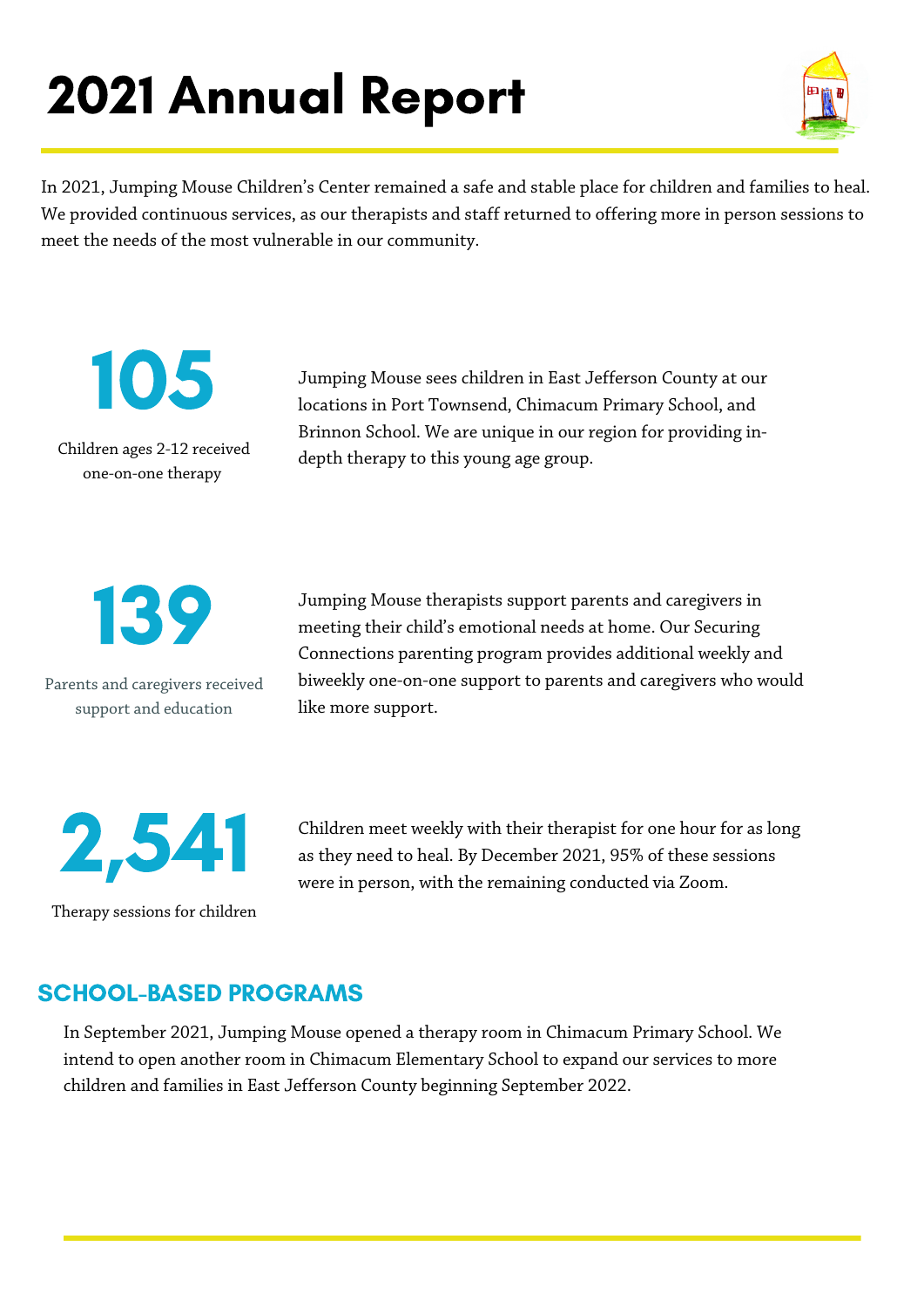# 2021 Annual Report



In 2021, Jumping Mouse Children's Center remained a safe and stable place for children and families to heal. We provided continuous services, as our therapists and staff returned to offering more in person sessions to meet the needs of the most vulnerable in our community.

105

Children ages 2-12 received one-on-one therapy

Jumping Mouse sees children in East Jefferson County at our locations in Port Townsend, Chimacum Primary School, and Brinnon School. We are unique in our region for providing indepth therapy to this young age group.



Parents and caregivers received support and education

Jumping Mouse therapists support parents and caregivers in meeting their child's emotional needs at home. Our Securing Connections parenting program provides additional weekly and biweekly one-on-one support to parents and caregivers who would like more support.



Children meet weekly with their therapist for one hour for as long as they need to heal. By December 2021, 95% of these sessions were in person, with the remaining conducted via Zoom.

Therapy sessions for children

## SCHOOL-BASED PROGRAMS

In September 2021, Jumping Mouse opened a therapy room in Chimacum Primary School. We intend to open another room in Chimacum Elementary School to expand our services to more children and families in East Jefferson County beginning September 2022.